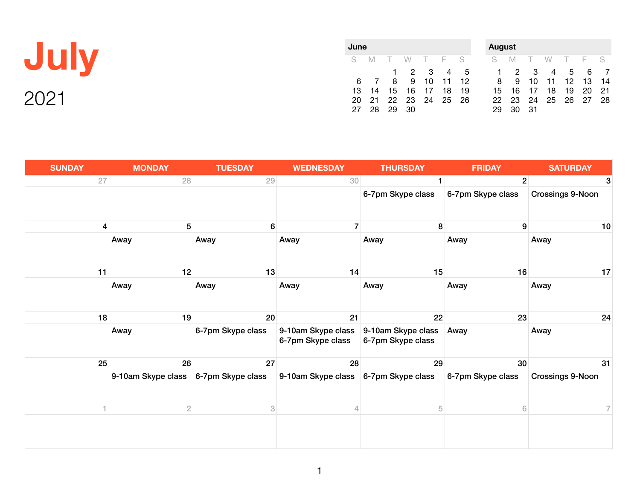| JUIV  |  |
|-------|--|
| 2()21 |  |

| June |    |        |                |        |     |    |
|------|----|--------|----------------|--------|-----|----|
| S.   | -M | $\top$ | W              | $\top$ | - F | S  |
|      |    | 1.     | 2              | 3      |     | 5  |
| 6    |    | 8      | 9              | 10     | 11  | 12 |
| 13   | 14 | 15     |                | 16 17  | 18  | 19 |
| 20   |    |        | 21 22 23 24 25 |        |     | 26 |
| 27   | 28 | 29     | 30.            |        |     |    |

| August |    |    |    |    |     |    |  |
|--------|----|----|----|----|-----|----|--|
| S      | М  | т  | W  | т  | - F | S  |  |
| 1      | 2  | З  | 4  | 5  | 6   |    |  |
| 8      | 9  | 10 | 11 | 12 | 13  | 14 |  |
| 15     | 16 | 17 | 18 | 19 | 20  | 21 |  |
| 22     | 23 | 24 | 25 | 26 | 27  | 28 |  |
| 29     | 30 | 31 |    |    |     |    |  |

| <b>SUNDAY</b> | <b>MONDAY</b>                        | <b>TUESDAY</b>    | <b>WEDNESDAY</b>                        | <b>THURSDAY</b>                         | <b>FRIDAY</b>     | <b>SATURDAY</b>         |
|---------------|--------------------------------------|-------------------|-----------------------------------------|-----------------------------------------|-------------------|-------------------------|
| 27            | 28                                   | 29                | 30 <sup>°</sup>                         |                                         | 2 <sup>1</sup>    | 3                       |
|               |                                      |                   |                                         | 6-7pm Skype class                       | 6-7pm Skype class | <b>Crossings 9-Noon</b> |
| 4             | 5                                    | 6                 | $\overline{7}$                          | 8                                       | 9                 | 10                      |
|               | Away                                 | Away              | Away                                    | Away                                    | Away              | Away                    |
| 11            | 12                                   | 13                | 14                                      | 15                                      | 16                | 17                      |
|               | Away                                 | Away              | Away                                    | Away                                    | Away              | Away                    |
| 18            | 19                                   | 20                | 21                                      | 22                                      | 23                | 24                      |
|               | Away                                 | 6-7pm Skype class | 9-10am Skype class<br>6-7pm Skype class | 9-10am Skype class<br>6-7pm Skype class | Away              | Away                    |
| 25            | 26                                   | 27                | 28                                      | 29                                      | 30 <sup>°</sup>   | 31                      |
|               | 9-10am Skype class 6-7pm Skype class |                   | 9-10am Skype class 6-7pm Skype class    |                                         | 6-7pm Skype class | Crossings 9-Noon        |
|               | $\overline{2}$                       | 3                 | $\overline{4}$                          | 5                                       | 6                 | $\overline{7}$          |
|               |                                      |                   |                                         |                                         |                   |                         |